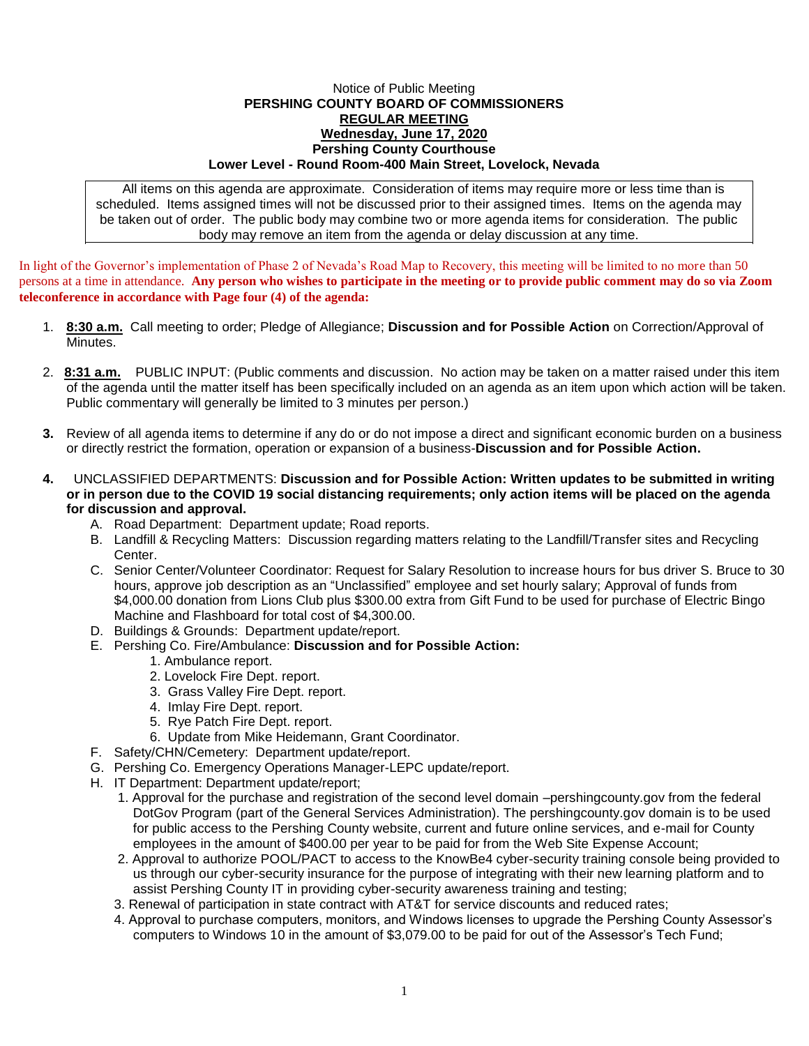## Notice of Public Meeting **PERSHING COUNTY BOARD OF COMMISSIONERS REGULAR MEETING Wednesday, June 17, 2020 Pershing County Courthouse Lower Level - Round Room-400 Main Street, Lovelock, Nevada**

All items on this agenda are approximate. Consideration of items may require more or less time than is scheduled. Items assigned times will not be discussed prior to their assigned times. Items on the agenda may be taken out of order. The public body may combine two or more agenda items for consideration. The public body may remove an item from the agenda or delay discussion at any time.

In light of the Governor's implementation of Phase 2 of Nevada's Road Map to Recovery, this meeting will be limited to no more than 50 persons at a time in attendance. **Any person who wishes to participate in the meeting or to provide public comment may do so via Zoom teleconference in accordance with Page four (4) of the agenda:** 

- 1. **8:30 a.m.** Call meeting to order; Pledge of Allegiance; **Discussion and for Possible Action** on Correction/Approval of Minutes.
- 2. **8:31 a.m.** PUBLIC INPUT: (Public comments and discussion. No action may be taken on a matter raised under this item of the agenda until the matter itself has been specifically included on an agenda as an item upon which action will be taken. Public commentary will generally be limited to 3 minutes per person.)
- **3.** Review of all agenda items to determine if any do or do not impose a direct and significant economic burden on a business or directly restrict the formation, operation or expansion of a business-**Discussion and for Possible Action.**
- **4.** UNCLASSIFIED DEPARTMENTS: **Discussion and for Possible Action: Written updates to be submitted in writing or in person due to the COVID 19 social distancing requirements; only action items will be placed on the agenda for discussion and approval.**
	- A. Road Department: Department update; Road reports.
	- B. Landfill & Recycling Matters: Discussion regarding matters relating to the Landfill/Transfer sites and Recycling Center.
	- C. Senior Center/Volunteer Coordinator: Request for Salary Resolution to increase hours for bus driver S. Bruce to 30 hours, approve job description as an "Unclassified" employee and set hourly salary; Approval of funds from \$4,000.00 donation from Lions Club plus \$300.00 extra from Gift Fund to be used for purchase of Electric Bingo Machine and Flashboard for total cost of \$4,300.00.
	- D. Buildings & Grounds: Department update/report.
	- E. Pershing Co. Fire/Ambulance: **Discussion and for Possible Action:**
		- 1. Ambulance report.
		- 2. Lovelock Fire Dept. report.
		- 3. Grass Valley Fire Dept. report.
		- 4. Imlay Fire Dept. report.
		- 5. Rye Patch Fire Dept. report.
		- 6. Update from Mike Heidemann, Grant Coordinator.
	- F. Safety/CHN/Cemetery: Department update/report.
	- G. Pershing Co. Emergency Operations Manager-LEPC update/report.
	- H. IT Department: Department update/report;
		- 1. Approval for the purchase and registration of the second level domain –pershingcounty.gov from the federal DotGov Program (part of the General Services Administration). The pershingcounty.gov domain is to be used for public access to the Pershing County website, current and future online services, and e-mail for County employees in the amount of \$400.00 per year to be paid for from the Web Site Expense Account;
		- 2. Approval to authorize POOL/PACT to access to the KnowBe4 cyber-security training console being provided to us through our cyber-security insurance for the purpose of integrating with their new learning platform and to assist Pershing County IT in providing cyber-security awareness training and testing;
		- 3. Renewal of participation in state contract with AT&T for service discounts and reduced rates;
		- 4. Approval to purchase computers, monitors, and Windows licenses to upgrade the Pershing County Assessor's computers to Windows 10 in the amount of \$3,079.00 to be paid for out of the Assessor's Tech Fund;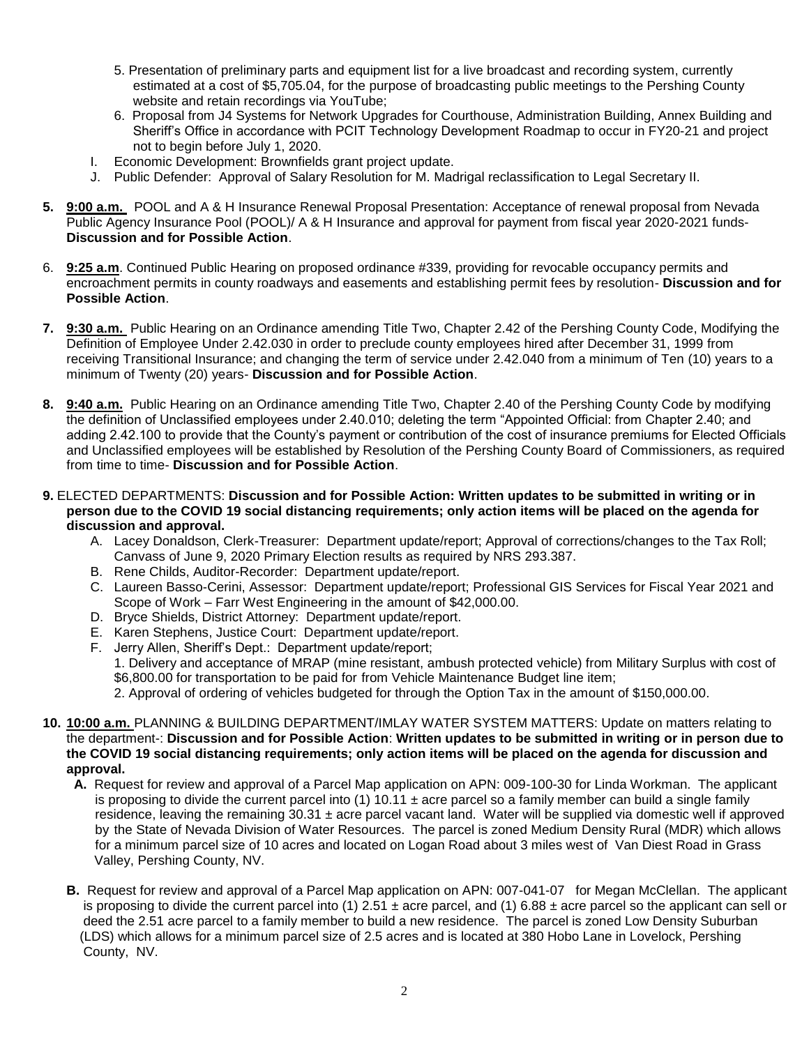- 5. Presentation of preliminary parts and equipment list for a live broadcast and recording system, currently estimated at a cost of \$5,705.04, for the purpose of broadcasting public meetings to the Pershing County website and retain recordings via YouTube;
- 6. Proposal from J4 Systems for Network Upgrades for Courthouse, Administration Building, Annex Building and Sheriff's Office in accordance with PCIT Technology Development Roadmap to occur in FY20-21 and project not to begin before July 1, 2020.
- I. Economic Development: Brownfields grant project update.
- J. Public Defender: Approval of Salary Resolution for M. Madrigal reclassification to Legal Secretary II.
- **5. 9:00 a.m.** POOL and A & H Insurance Renewal Proposal Presentation: Acceptance of renewal proposal from Nevada Public Agency Insurance Pool (POOL)/ A & H Insurance and approval for payment from fiscal year 2020-2021 funds-**Discussion and for Possible Action**.
- 6. **9:25 a.m**. Continued Public Hearing on proposed ordinance #339, providing for revocable occupancy permits and encroachment permits in county roadways and easements and establishing permit fees by resolution- **Discussion and for Possible Action**.
- **7. 9:30 a.m.** Public Hearing on an Ordinance amending Title Two, Chapter 2.42 of the Pershing County Code, Modifying the Definition of Employee Under 2.42.030 in order to preclude county employees hired after December 31, 1999 from receiving Transitional Insurance; and changing the term of service under 2.42.040 from a minimum of Ten (10) years to a minimum of Twenty (20) years- **Discussion and for Possible Action**.
- **8. 9:40 a.m.** Public Hearing on an Ordinance amending Title Two, Chapter 2.40 of the Pershing County Code by modifying the definition of Unclassified employees under 2.40.010; deleting the term "Appointed Official: from Chapter 2.40; and adding 2.42.100 to provide that the County's payment or contribution of the cost of insurance premiums for Elected Officials and Unclassified employees will be established by Resolution of the Pershing County Board of Commissioners, as required from time to time- **Discussion and for Possible Action**.
- **9.** ELECTED DEPARTMENTS: **Discussion and for Possible Action: Written updates to be submitted in writing or in person due to the COVID 19 social distancing requirements; only action items will be placed on the agenda for discussion and approval.**
	- A. Lacey Donaldson, Clerk-Treasurer: Department update/report; Approval of corrections/changes to the Tax Roll; Canvass of June 9, 2020 Primary Election results as required by NRS 293.387.
	- B. Rene Childs, Auditor-Recorder: Department update/report.
	- C. Laureen Basso-Cerini, Assessor: Department update/report; Professional GIS Services for Fiscal Year 2021 and Scope of Work – Farr West Engineering in the amount of \$42,000.00.
	- D. Bryce Shields, District Attorney: Department update/report.
	- E. Karen Stephens, Justice Court: Department update/report.
	- F. Jerry Allen, Sheriff's Dept.: Department update/report;

1. Delivery and acceptance of MRAP (mine resistant, ambush protected vehicle) from Military Surplus with cost of \$6,800.00 for transportation to be paid for from Vehicle Maintenance Budget line item;

2. Approval of ordering of vehicles budgeted for through the Option Tax in the amount of \$150,000.00.

- **10. 10:00 a.m.** PLANNING & BUILDING DEPARTMENT/IMLAY WATER SYSTEM MATTERS: Update on matters relating to the department-: **Discussion and for Possible Action**: **Written updates to be submitted in writing or in person due to the COVID 19 social distancing requirements; only action items will be placed on the agenda for discussion and approval.**
	- **A.** Request for review and approval of a Parcel Map application on APN: 009-100-30 for Linda Workman. The applicant is proposing to divide the current parcel into (1) 10.11  $\pm$  acre parcel so a family member can build a single family residence, leaving the remaining  $30.31 \pm$  acre parcel vacant land. Water will be supplied via domestic well if approved by the State of Nevada Division of Water Resources. The parcel is zoned Medium Density Rural (MDR) which allows for a minimum parcel size of 10 acres and located on Logan Road about 3 miles west of Van Diest Road in Grass Valley, Pershing County, NV.
	- **B.** Request for review and approval of a Parcel Map application on APN: 007-041-07 for Megan McClellan. The applicant is proposing to divide the current parcel into (1) 2.51  $\pm$  acre parcel, and (1) 6.88  $\pm$  acre parcel so the applicant can sell or deed the 2.51 acre parcel to a family member to build a new residence. The parcel is zoned Low Density Suburban (LDS) which allows for a minimum parcel size of 2.5 acres and is located at 380 Hobo Lane in Lovelock, Pershing County, NV.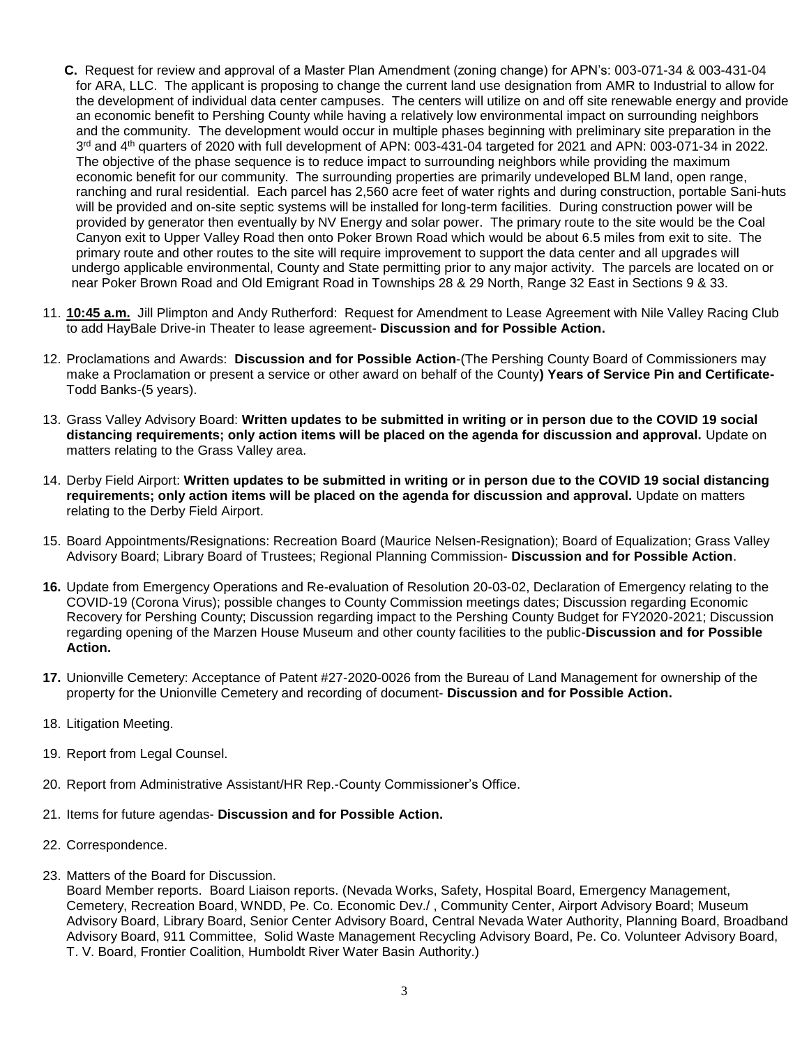- **C.** Request for review and approval of a Master Plan Amendment (zoning change) for APN's: 003-071-34 & 003-431-04 for ARA, LLC. The applicant is proposing to change the current land use designation from AMR to Industrial to allow for the development of individual data center campuses. The centers will utilize on and off site renewable energy and provide an economic benefit to Pershing County while having a relatively low environmental impact on surrounding neighbors and the community. The development would occur in multiple phases beginning with preliminary site preparation in the 3<sup>rd</sup> and 4<sup>th</sup> quarters of 2020 with full development of APN: 003-431-04 targeted for 2021 and APN: 003-071-34 in 2022. The objective of the phase sequence is to reduce impact to surrounding neighbors while providing the maximum economic benefit for our community. The surrounding properties are primarily undeveloped BLM land, open range, ranching and rural residential. Each parcel has 2,560 acre feet of water rights and during construction, portable Sani-huts will be provided and on-site septic systems will be installed for long-term facilities. During construction power will be provided by generator then eventually by NV Energy and solar power. The primary route to the site would be the Coal Canyon exit to Upper Valley Road then onto Poker Brown Road which would be about 6.5 miles from exit to site. The primary route and other routes to the site will require improvement to support the data center and all upgrades will undergo applicable environmental, County and State permitting prior to any major activity. The parcels are located on or near Poker Brown Road and Old Emigrant Road in Townships 28 & 29 North, Range 32 East in Sections 9 & 33.
- 11. **10:45 a.m.** Jill Plimpton and Andy Rutherford: Request for Amendment to Lease Agreement with Nile Valley Racing Club to add HayBale Drive-in Theater to lease agreement- **Discussion and for Possible Action.**
- 12. Proclamations and Awards: **Discussion and for Possible Action**-(The Pershing County Board of Commissioners may make a Proclamation or present a service or other award on behalf of the County**) Years of Service Pin and Certificate-**Todd Banks-(5 years).
- 13. Grass Valley Advisory Board: **Written updates to be submitted in writing or in person due to the COVID 19 social distancing requirements; only action items will be placed on the agenda for discussion and approval.** Update on matters relating to the Grass Valley area.
- 14. Derby Field Airport: **Written updates to be submitted in writing or in person due to the COVID 19 social distancing requirements; only action items will be placed on the agenda for discussion and approval.** Update on matters relating to the Derby Field Airport.
- 15. Board Appointments/Resignations: Recreation Board (Maurice Nelsen-Resignation); Board of Equalization; Grass Valley Advisory Board; Library Board of Trustees; Regional Planning Commission- **Discussion and for Possible Action**.
- **16.** Update from Emergency Operations and Re-evaluation of Resolution 20-03-02, Declaration of Emergency relating to the COVID-19 (Corona Virus); possible changes to County Commission meetings dates; Discussion regarding Economic Recovery for Pershing County; Discussion regarding impact to the Pershing County Budget for FY2020-2021; Discussion regarding opening of the Marzen House Museum and other county facilities to the public-**Discussion and for Possible Action.**
- **17.** Unionville Cemetery: Acceptance of Patent #27-2020-0026 from the Bureau of Land Management for ownership of the property for the Unionville Cemetery and recording of document- **Discussion and for Possible Action.**
- 18. Litigation Meeting.
- 19. Report from Legal Counsel.
- 20. Report from Administrative Assistant/HR Rep.-County Commissioner's Office.
- 21. Items for future agendas- **Discussion and for Possible Action.**
- 22. Correspondence.
- 23. Matters of the Board for Discussion.

Board Member reports. Board Liaison reports. (Nevada Works, Safety, Hospital Board, Emergency Management, Cemetery, Recreation Board, WNDD, Pe. Co. Economic Dev./ , Community Center, Airport Advisory Board; Museum Advisory Board, Library Board, Senior Center Advisory Board, Central Nevada Water Authority, Planning Board, Broadband Advisory Board, 911 Committee, Solid Waste Management Recycling Advisory Board, Pe. Co. Volunteer Advisory Board, T. V. Board, Frontier Coalition, Humboldt River Water Basin Authority.)